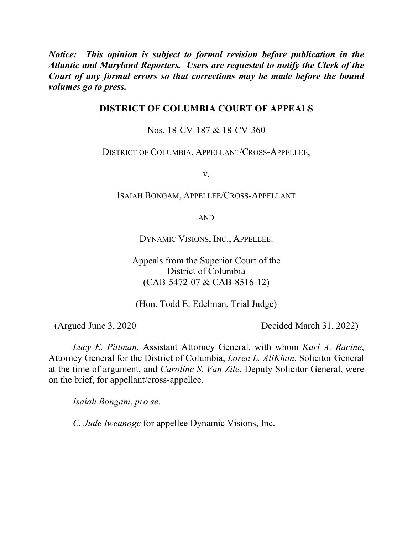*Notice: This opinion is subject to formal revision before publication in the Atlantic and Maryland Reporters. Users are requested to notify the Clerk of the Court of any formal errors so that corrections may be made before the bound volumes go to press.*

## **DISTRICT OF COLUMBIA COURT OF APPEALS**

Nos. 18-CV-187 & 18-CV-360

DISTRICT OF COLUMBIA, APPELLANT/CROSS-APPELLEE,

v.

ISAIAH BONGAM, APPELLEE/CROSS-APPELLANT

AND

DYNAMIC VISIONS, INC., APPELLEE.

Appeals from the Superior Court of the District of Columbia (CAB-5472-07 & CAB-8516-12)

(Hon. Todd E. Edelman, Trial Judge)

(Argued June 3, 2020 Decided March 31, 2022)

*Lucy E. Pittman*, Assistant Attorney General, with whom *Karl A. Racine*, Attorney General for the District of Columbia, *Loren L. AliKhan*, Solicitor General at the time of argument, and *Caroline S. Van Zile*, Deputy Solicitor General, were on the brief, for appellant/cross-appellee.

*Isaiah Bongam*, *pro se*.

*C. Jude Iweanoge* for appellee Dynamic Visions, Inc.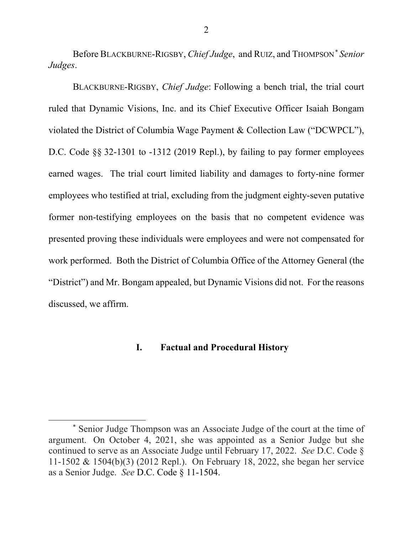Before BLACKBURNE-RIGSBY, *Chief Judge*, and RUIZ, and THOMPSON*\* Senior Judges*.

BLACKBURNE-RIGSBY, *Chief Judge*: Following a bench trial, the trial court ruled that Dynamic Visions, Inc. and its Chief Executive Officer Isaiah Bongam violated the District of Columbia Wage Payment & Collection Law ("DCWPCL"), D.C. Code §§ 32-1301 to -1312 (2019 Repl.), by failing to pay former employees earned wages. The trial court limited liability and damages to forty-nine former employees who testified at trial, excluding from the judgment eighty-seven putative former non-testifying employees on the basis that no competent evidence was presented proving these individuals were employees and were not compensated for work performed. Both the District of Columbia Office of the Attorney General (the "District") and Mr. Bongam appealed, but Dynamic Visions did not. For the reasons discussed, we affirm.

## **I. Factual and Procedural History**

<sup>\*</sup> Senior Judge Thompson was an Associate Judge of the court at the time of argument. On October 4, 2021, she was appointed as a Senior Judge but she continued to serve as an Associate Judge until February 17, 2022. *See* D.C. Code § 11-1502 & 1504(b)(3) (2012 Repl.). On February 18, 2022, she began her service as a Senior Judge. *See* D.C. Code § 11-1504.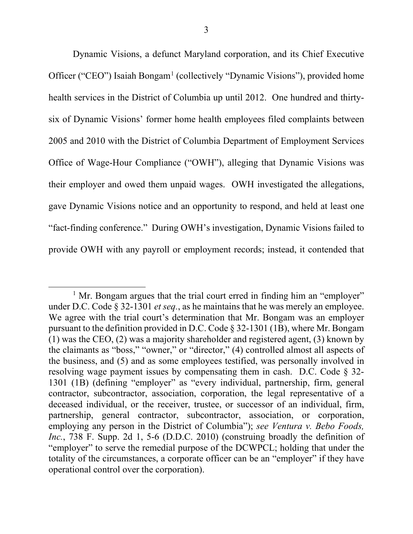Dynamic Visions, a defunct Maryland corporation, and its Chief Executive Officer ("CEO") Isaiah Bongam<sup>1</sup> (collectively "Dynamic Visions"), provided home health services in the District of Columbia up until 2012. One hundred and thirtysix of Dynamic Visions' former home health employees filed complaints between 2005 and 2010 with the District of Columbia Department of Employment Services Office of Wage-Hour Compliance ("OWH"), alleging that Dynamic Visions was their employer and owed them unpaid wages. OWH investigated the allegations, gave Dynamic Visions notice and an opportunity to respond, and held at least one "fact-finding conference." During OWH's investigation, Dynamic Visions failed to provide OWH with any payroll or employment records; instead, it contended that

 $<sup>1</sup>$  Mr. Bongam argues that the trial court erred in finding him an "employer"</sup> under D.C. Code § 32-1301 *et seq.*, as he maintains that he was merely an employee. We agree with the trial court's determination that Mr. Bongam was an employer pursuant to the definition provided in D.C. Code § 32-1301 (1B), where Mr. Bongam (1) was the CEO, (2) was a majority shareholder and registered agent, (3) known by the claimants as "boss," "owner," or "director," (4) controlled almost all aspects of the business, and (5) and as some employees testified, was personally involved in resolving wage payment issues by compensating them in cash. D.C. Code  $\S$  32-1301 (1B) (defining "employer" as "every individual, partnership, firm, general contractor, subcontractor, association, corporation, the legal representative of a deceased individual, or the receiver, trustee, or successor of an individual, firm, partnership, general contractor, subcontractor, association, or corporation, employing any person in the District of Columbia"); *see Ventura v. Bebo Foods, Inc.*, 738 F. Supp. 2d 1, 5-6 (D.D.C. 2010) (construing broadly the definition of "employer" to serve the remedial purpose of the DCWPCL; holding that under the totality of the circumstances, a corporate officer can be an "employer" if they have operational control over the corporation).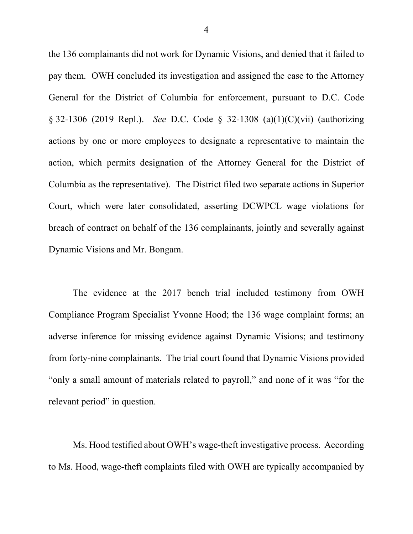the 136 complainants did not work for Dynamic Visions, and denied that it failed to pay them. OWH concluded its investigation and assigned the case to the Attorney General for the District of Columbia for enforcement, pursuant to D.C. Code § 32-1306 (2019 Repl.).*See* D.C. Code § 32-1308 (a)(1)(C)(vii) (authorizing actions by one or more employees to designate a representative to maintain the action, which permits designation of the Attorney General for the District of Columbia as the representative). The District filed two separate actions in Superior Court, which were later consolidated, asserting DCWPCL wage violations for breach of contract on behalf of the 136 complainants, jointly and severally against Dynamic Visions and Mr. Bongam.

The evidence at the 2017 bench trial included testimony from OWH Compliance Program Specialist Yvonne Hood; the 136 wage complaint forms; an adverse inference for missing evidence against Dynamic Visions; and testimony from forty-nine complainants. The trial court found that Dynamic Visions provided "only a small amount of materials related to payroll," and none of it was "for the relevant period" in question.

Ms. Hood testified about OWH's wage-theft investigative process. According to Ms. Hood, wage-theft complaints filed with OWH are typically accompanied by

4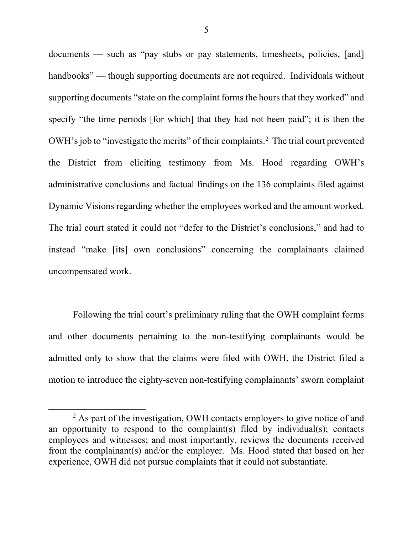documents — such as "pay stubs or pay statements, timesheets, policies, [and] handbooks" — though supporting documents are not required. Individuals without supporting documents "state on the complaint forms the hours that they worked" and specify "the time periods [for which] that they had not been paid"; it is then the OWH's job to "investigate the merits" of their complaints.<sup>2</sup> The trial court prevented the District from eliciting testimony from Ms. Hood regarding OWH's administrative conclusions and factual findings on the 136 complaints filed against Dynamic Visions regarding whether the employees worked and the amount worked. The trial court stated it could not "defer to the District's conclusions," and had to instead "make [its] own conclusions" concerning the complainants claimed uncompensated work.

Following the trial court's preliminary ruling that the OWH complaint forms and other documents pertaining to the non-testifying complainants would be admitted only to show that the claims were filed with OWH, the District filed a motion to introduce the eighty-seven non-testifying complainants' sworn complaint

<sup>&</sup>lt;sup>2</sup> As part of the investigation, OWH contacts employers to give notice of and an opportunity to respond to the complaint(s) filed by individual(s); contacts employees and witnesses; and most importantly, reviews the documents received from the complainant(s) and/or the employer. Ms. Hood stated that based on her experience, OWH did not pursue complaints that it could not substantiate.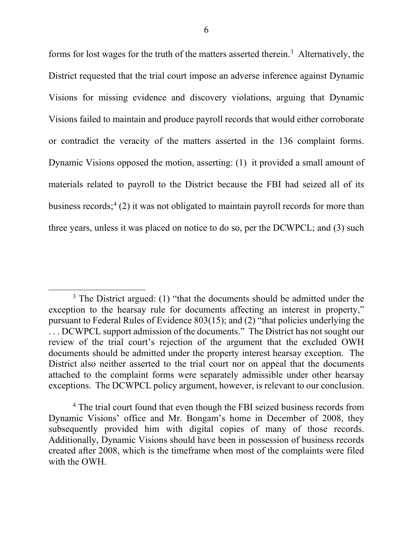forms for lost wages for the truth of the matters asserted therein.<sup>3</sup> Alternatively, the District requested that the trial court impose an adverse inference against Dynamic Visions for missing evidence and discovery violations, arguing that Dynamic Visions failed to maintain and produce payroll records that would either corroborate or contradict the veracity of the matters asserted in the 136 complaint forms. Dynamic Visions opposed the motion, asserting: (1) it provided a small amount of materials related to payroll to the District because the FBI had seized all of its business records; $4(2)$  it was not obligated to maintain payroll records for more than three years, unless it was placed on notice to do so, per the DCWPCL; and (3) such

 $3$  The District argued: (1) "that the documents should be admitted under the exception to the hearsay rule for documents affecting an interest in property," pursuant to Federal Rules of Evidence 803(15); and (2) "that policies underlying the . . . DCWPCL support admission of the documents." The District has not sought our review of the trial court's rejection of the argument that the excluded OWH documents should be admitted under the property interest hearsay exception. The District also neither asserted to the trial court nor on appeal that the documents attached to the complaint forms were separately admissible under other hearsay exceptions. The DCWPCL policy argument, however, is relevant to our conclusion.

<sup>&</sup>lt;sup>4</sup> The trial court found that even though the FBI seized business records from Dynamic Visions' office and Mr. Bongam's home in December of 2008, they subsequently provided him with digital copies of many of those records. Additionally, Dynamic Visions should have been in possession of business records created after 2008, which is the timeframe when most of the complaints were filed with the OWH.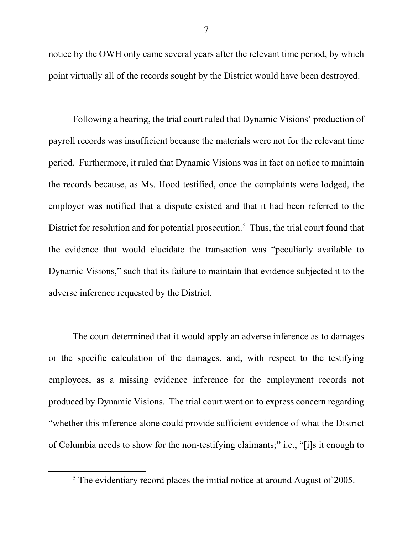notice by the OWH only came several years after the relevant time period, by which point virtually all of the records sought by the District would have been destroyed.

Following a hearing, the trial court ruled that Dynamic Visions' production of payroll records was insufficient because the materials were not for the relevant time period.Furthermore, it ruled that Dynamic Visions was in fact on notice to maintain the records because, as Ms. Hood testified, once the complaints were lodged, the employer was notified that a dispute existed and that it had been referred to the District for resolution and for potential prosecution.<sup>5</sup> Thus, the trial court found that the evidence that would elucidate the transaction was "peculiarly available to Dynamic Visions," such that its failure to maintain that evidence subjected it to the adverse inference requested by the District.

The court determined that it would apply an adverse inference as to damages or the specific calculation of the damages, and, with respect to the testifying employees, as a missing evidence inference for the employment records not produced by Dynamic Visions. The trial court went on to express concern regarding "whether this inference alone could provide sufficient evidence of what the District of Columbia needs to show for the non-testifying claimants;" i.e., "[i]s it enough to

<sup>5</sup> The evidentiary record places the initial notice at around August of 2005.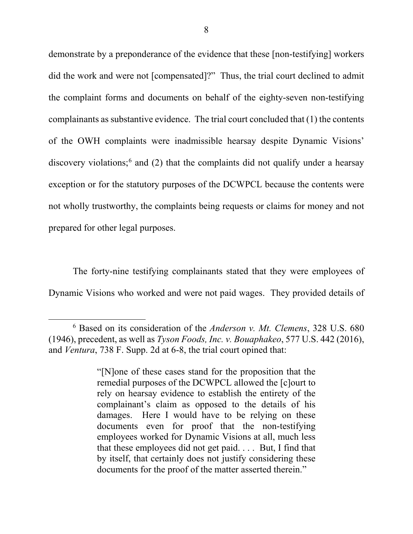demonstrate by a preponderance of the evidence that these [non-testifying] workers did the work and were not [compensated]?" Thus, the trial court declined to admit the complaint forms and documents on behalf of the eighty-seven non-testifying complainants as substantive evidence. The trial court concluded that (1) the contents of the OWH complaints were inadmissible hearsay despite Dynamic Visions' discovery violations;6 and (2) that the complaints did not qualify under a hearsay exception or for the statutory purposes of the DCWPCL because the contents were not wholly trustworthy, the complaints being requests or claims for money and not prepared for other legal purposes.

The forty-nine testifying complainants stated that they were employees of Dynamic Visions who worked and were not paid wages. They provided details of

<sup>6</sup> Based on its consideration of the *Anderson v. Mt. Clemens*, 328 U.S. 680 (1946), precedent, as well as *Tyson Foods, Inc. v. Bouaphakeo*, 577 U.S. 442 (2016), and *Ventura*, 738 F. Supp. 2d at 6-8, the trial court opined that:

<sup>&</sup>quot;[N]one of these cases stand for the proposition that the remedial purposes of the DCWPCL allowed the [c]ourt to rely on hearsay evidence to establish the entirety of the complainant's claim as opposed to the details of his damages. Here I would have to be relying on these documents even for proof that the non-testifying employees worked for Dynamic Visions at all, much less that these employees did not get paid. . . . But, I find that by itself, that certainly does not justify considering these documents for the proof of the matter asserted therein."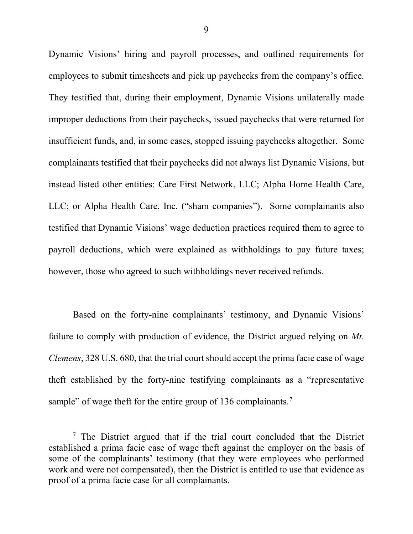Dynamic Visions' hiring and payroll processes, and outlined requirements for employees to submit timesheets and pick up paychecks from the company's office. They testified that, during their employment, Dynamic Visions unilaterally made improper deductions from their paychecks, issued paychecks that were returned for insufficient funds, and, in some cases, stopped issuing paychecks altogether. Some complainants testified that their paychecks did not always list Dynamic Visions, but instead listed other entities: Care First Network, LLC; Alpha Home Health Care, LLC; or Alpha Health Care, Inc. ("sham companies"). Some complainants also testified that Dynamic Visions' wage deduction practices required them to agree to payroll deductions, which were explained as withholdings to pay future taxes; however, those who agreed to such withholdings never received refunds.

Based on the forty-nine complainants' testimony, and Dynamic Visions' failure to comply with production of evidence, the District argued relying on *Mt. Clemens*, 328 U.S. 680, that the trial court should accept the prima facie case of wage theft established by the forty-nine testifying complainants as a "representative sample" of wage theft for the entire group of 136 complainants.<sup>7</sup>

<sup>&</sup>lt;sup>7</sup> The District argued that if the trial court concluded that the District established a prima facie case of wage theft against the employer on the basis of some of the complainants' testimony (that they were employees who performed work and were not compensated), then the District is entitled to use that evidence as proof of a prima facie case for all complainants.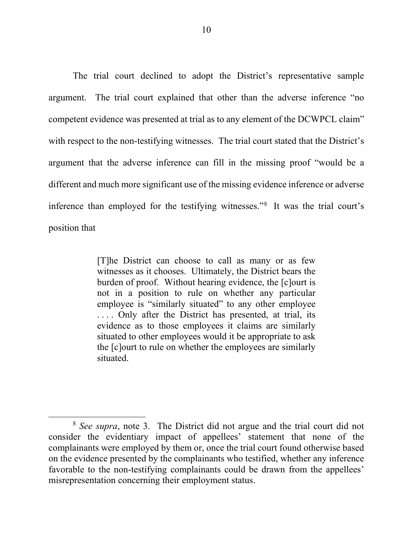The trial court declined to adopt the District's representative sample argument. The trial court explained that other than the adverse inference "no competent evidence was presented at trial as to any element of the DCWPCL claim" with respect to the non-testifying witnesses. The trial court stated that the District's argument that the adverse inference can fill in the missing proof "would be a different and much more significant use of the missing evidence inference or adverse inference than employed for the testifying witnesses."8 It was the trial court's position that

> [T]he District can choose to call as many or as few witnesses as it chooses. Ultimately, the District bears the burden of proof. Without hearing evidence, the [c]ourt is not in a position to rule on whether any particular employee is "similarly situated" to any other employee .... Only after the District has presented, at trial, its evidence as to those employees it claims are similarly situated to other employees would it be appropriate to ask the [c]ourt to rule on whether the employees are similarly situated.

<sup>8</sup> *See supra*, note 3. The District did not argue and the trial court did not consider the evidentiary impact of appellees' statement that none of the complainants were employed by them or, once the trial court found otherwise based on the evidence presented by the complainants who testified, whether any inference favorable to the non-testifying complainants could be drawn from the appellees' misrepresentation concerning their employment status.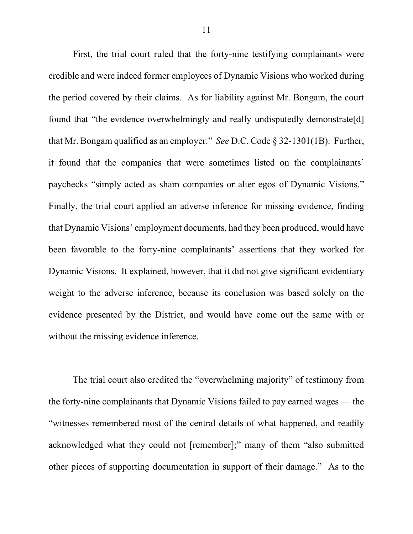First, the trial court ruled that the forty-nine testifying complainants were credible and were indeed former employees of Dynamic Visions who worked during the period covered by their claims. As for liability against Mr. Bongam, the court found that "the evidence overwhelmingly and really undisputedly demonstrate[d] that Mr. Bongam qualified as an employer." *See* D.C. Code § 32-1301(1B). Further, it found that the companies that were sometimes listed on the complainants' paychecks "simply acted as sham companies or alter egos of Dynamic Visions." Finally, the trial court applied an adverse inference for missing evidence, finding that Dynamic Visions' employment documents, had they been produced, would have been favorable to the forty-nine complainants' assertions that they worked for Dynamic Visions. It explained, however, that it did not give significant evidentiary weight to the adverse inference, because its conclusion was based solely on the evidence presented by the District, and would have come out the same with or without the missing evidence inference.

The trial court also credited the "overwhelming majority" of testimony from the forty-nine complainants that Dynamic Visions failed to pay earned wages — the "witnesses remembered most of the central details of what happened, and readily acknowledged what they could not [remember];" many of them "also submitted other pieces of supporting documentation in support of their damage." As to the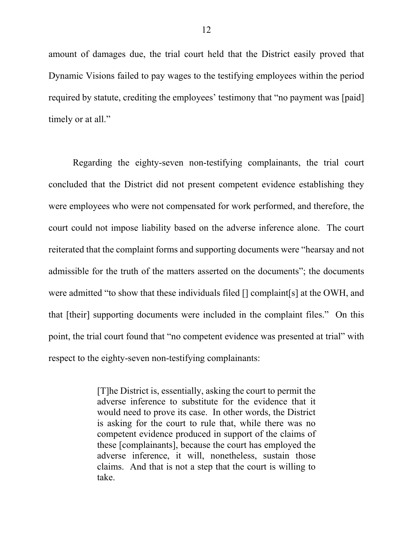amount of damages due, the trial court held that the District easily proved that Dynamic Visions failed to pay wages to the testifying employees within the period required by statute, crediting the employees' testimony that "no payment was [paid] timely or at all."

Regarding the eighty-seven non-testifying complainants, the trial court concluded that the District did not present competent evidence establishing they were employees who were not compensated for work performed, and therefore, the court could not impose liability based on the adverse inference alone.The court reiterated that the complaint forms and supporting documents were "hearsay and not admissible for the truth of the matters asserted on the documents"; the documents were admitted "to show that these individuals filed [] complaint[s] at the OWH, and that [their] supporting documents were included in the complaint files." On this point, the trial court found that "no competent evidence was presented at trial" with respect to the eighty-seven non-testifying complainants:

> [T]he District is, essentially, asking the court to permit the adverse inference to substitute for the evidence that it would need to prove its case. In other words, the District is asking for the court to rule that, while there was no competent evidence produced in support of the claims of these [complainants], because the court has employed the adverse inference, it will, nonetheless, sustain those claims. And that is not a step that the court is willing to take.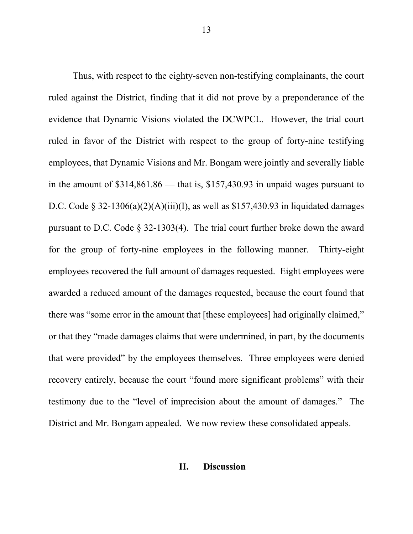Thus, with respect to the eighty-seven non-testifying complainants, the court ruled against the District, finding that it did not prove by a preponderance of the evidence that Dynamic Visions violated the DCWPCL. However, the trial court ruled in favor of the District with respect to the group of forty-nine testifying employees, that Dynamic Visions and Mr. Bongam were jointly and severally liable in the amount of \$314,861.86 — that is, \$157,430.93 in unpaid wages pursuant to D.C. Code § 32-1306(a)(2)(A)(iii)(I), as well as \$157,430.93 in liquidated damages pursuant to D.C. Code § 32-1303(4). The trial court further broke down the award for the group of forty-nine employees in the following manner. Thirty-eight employees recovered the full amount of damages requested. Eight employees were awarded a reduced amount of the damages requested, because the court found that there was "some error in the amount that [these employees] had originally claimed," or that they "made damages claims that were undermined, in part, by the documents that were provided" by the employees themselves. Three employees were denied recovery entirely, because the court "found more significant problems" with their testimony due to the "level of imprecision about the amount of damages." The District and Mr. Bongam appealed. We now review these consolidated appeals.

## **II. Discussion**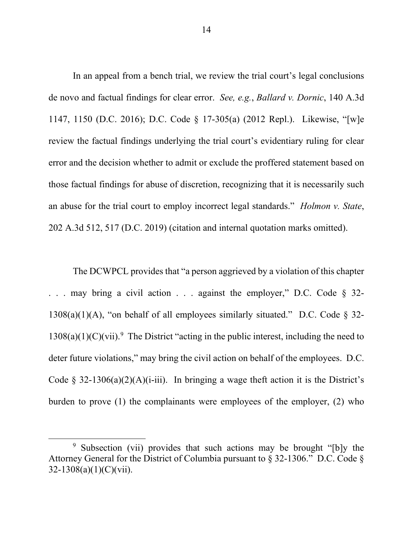In an appeal from a bench trial, we review the trial court's legal conclusions de novo and factual findings for clear error. *See, e.g.*, *Ballard v. Dornic*, 140 A.3d 1147, 1150 (D.C. 2016); D.C. Code § 17-305(a) (2012 Repl.). Likewise, "[w]e review the factual findings underlying the trial court's evidentiary ruling for clear error and the decision whether to admit or exclude the proffered statement based on those factual findings for abuse of discretion, recognizing that it is necessarily such an abuse for the trial court to employ incorrect legal standards." *Holmon v. State*, 202 A.3d 512, 517 (D.C. 2019) (citation and internal quotation marks omitted).

The DCWPCL provides that "a person aggrieved by a violation of this chapter . . . may bring a civil action . . . against the employer," D.C. Code § 32-  $1308(a)(1)(A)$ , "on behalf of all employees similarly situated." D.C. Code § 32- $1308(a)(1)(C)(vii).$ <sup>9</sup> The District "acting in the public interest, including the need to deter future violations," may bring the civil action on behalf of the employees. D.C. Code § 32-1306(a)(2)(A)(i-iii). In bringing a wage theft action it is the District's burden to prove (1) the complainants were employees of the employer, (2) who

<sup>9</sup> Subsection (vii) provides that such actions may be brought "[b]y the Attorney General for the District of Columbia pursuant to § 32-1306." D.C. Code §  $32-1308(a)(1)(C)(vii)$ .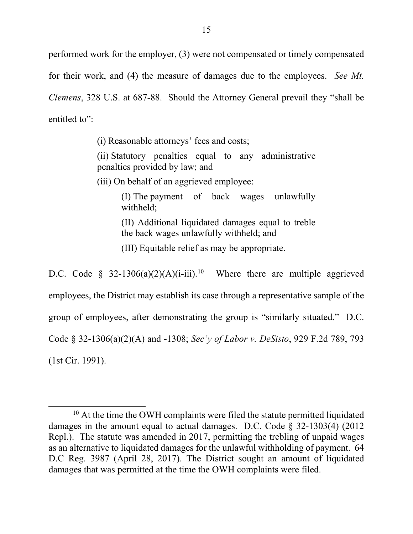performed work for the employer, (3) were not compensated or timely compensated for their work, and (4) the measure of damages due to the employees. *See Mt. Clemens*, 328 U.S. at 687-88. Should the Attorney General prevail they "shall be entitled to":

(i) Reasonable attorneys' fees and costs;

(ii) Statutory penalties equal to any administrative penalties provided by law; and

(iii) On behalf of an aggrieved employee:

(I) The payment of back wages unlawfully withheld;

(II) Additional liquidated damages equal to treble the back wages unlawfully withheld; and

(III) Equitable relief as may be appropriate.

D.C. Code § 32-1306(a)(2)(A)(i-iii).<sup>10</sup> Where there are multiple aggrieved employees, the District may establish its case through a representative sample of the group of employees, after demonstrating the group is "similarly situated." D.C. Code § 32-1306(a)(2)(A) and -1308; *Sec'y of Labor v. DeSisto*, 929 F.2d 789, 793 (1st Cir. 1991).

 $10$  At the time the OWH complaints were filed the statute permitted liquidated damages in the amount equal to actual damages. D.C. Code § 32-1303(4) (2012 Repl.). The statute was amended in 2017, permitting the trebling of unpaid wages as an alternative to liquidated damages for the unlawful withholding of payment. 64 D.C Reg. 3987 (April 28, 2017). The District sought an amount of liquidated damages that was permitted at the time the OWH complaints were filed.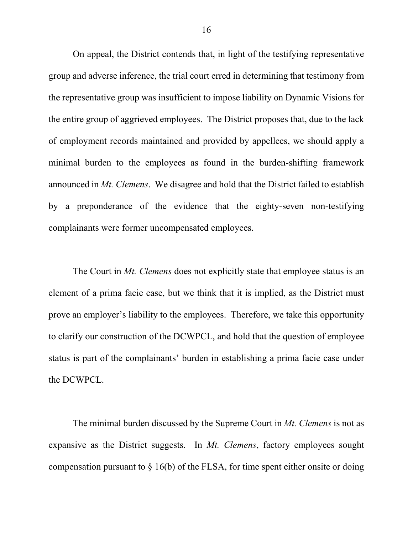On appeal, the District contends that, in light of the testifying representative group and adverse inference, the trial court erred in determining that testimony from the representative group was insufficient to impose liability on Dynamic Visions for the entire group of aggrieved employees. The District proposes that, due to the lack of employment records maintained and provided by appellees, we should apply a minimal burden to the employees as found in the burden-shifting framework announced in *Mt. Clemens*. We disagree and hold that the District failed to establish by a preponderance of the evidence that the eighty-seven non-testifying complainants were former uncompensated employees.

The Court in *Mt. Clemens* does not explicitly state that employee status is an element of a prima facie case, but we think that it is implied, as the District must prove an employer's liability to the employees. Therefore, we take this opportunity to clarify our construction of the DCWPCL, and hold that the question of employee status is part of the complainants' burden in establishing a prima facie case under the DCWPCL.

The minimal burden discussed by the Supreme Court in *Mt. Clemens* is not as expansive as the District suggests. In *Mt. Clemens*, factory employees sought compensation pursuant to  $\S$  16(b) of the FLSA, for time spent either onsite or doing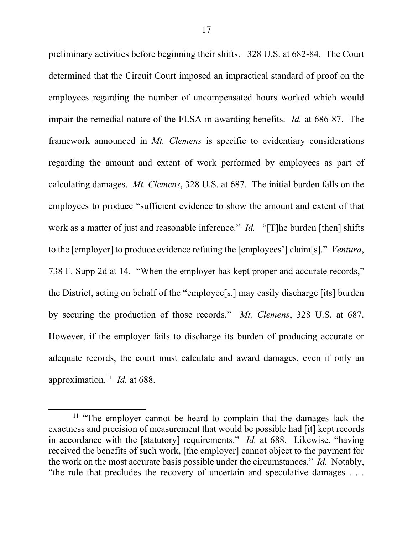preliminary activities before beginning their shifts. 328 U.S. at 682-84. The Court determined that the Circuit Court imposed an impractical standard of proof on the employees regarding the number of uncompensated hours worked which would impair the remedial nature of the FLSA in awarding benefits. *Id.* at 686-87. The framework announced in *Mt. Clemens* is specific to evidentiary considerations regarding the amount and extent of work performed by employees as part of calculating damages. *Mt. Clemens*, 328 U.S. at 687. The initial burden falls on the employees to produce "sufficient evidence to show the amount and extent of that work as a matter of just and reasonable inference." *Id.* "[T]he burden [then] shifts to the [employer] to produce evidence refuting the [employees'] claim[s]." *Ventura*, 738 F. Supp 2d at 14. "When the employer has kept proper and accurate records," the District, acting on behalf of the "employee[s,] may easily discharge [its] burden by securing the production of those records." *Mt. Clemens*, 328 U.S. at 687. However, if the employer fails to discharge its burden of producing accurate or adequate records, the court must calculate and award damages, even if only an approximation. <sup>11</sup> *Id.* at 688.

<sup>&</sup>lt;sup>11</sup> "The employer cannot be heard to complain that the damages lack the exactness and precision of measurement that would be possible had [it] kept records in accordance with the [statutory] requirements." *Id.* at 688. Likewise, "having received the benefits of such work, [the employer] cannot object to the payment for the work on the most accurate basis possible under the circumstances." *Id.* Notably, "the rule that precludes the recovery of uncertain and speculative damages . . .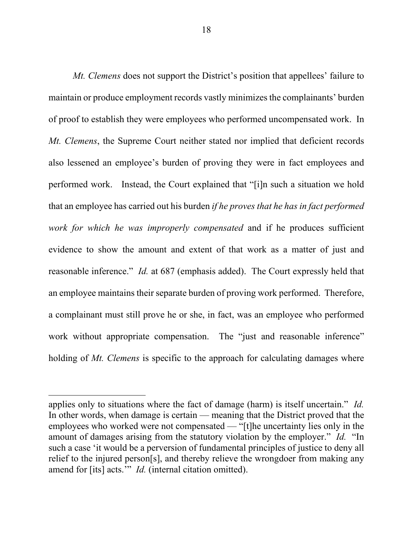*Mt. Clemens* does not support the District's position that appellees' failure to maintain or produce employment records vastly minimizes the complainants' burden of proof to establish they were employees who performed uncompensated work. In *Mt. Clemens*, the Supreme Court neither stated nor implied that deficient records also lessened an employee's burden of proving they were in fact employees and performed work. Instead, the Court explained that "[i]n such a situation we hold that an employee has carried out his burden *if he proves that he has in fact performed work for which he was improperly compensated* and if he produces sufficient evidence to show the amount and extent of that work as a matter of just and reasonable inference." *Id.* at 687 (emphasis added). The Court expressly held that an employee maintains their separate burden of proving work performed. Therefore, a complainant must still prove he or she, in fact, was an employee who performed work without appropriate compensation. The "just and reasonable inference" holding of *Mt. Clemens* is specific to the approach for calculating damages where

applies only to situations where the fact of damage (harm) is itself uncertain." *Id.* In other words, when damage is certain — meaning that the District proved that the employees who worked were not compensated — "[t]he uncertainty lies only in the amount of damages arising from the statutory violation by the employer." *Id.* "In such a case 'it would be a perversion of fundamental principles of justice to deny all relief to the injured person[s], and thereby relieve the wrongdoer from making any amend for [its] acts.'" *Id.* (internal citation omitted).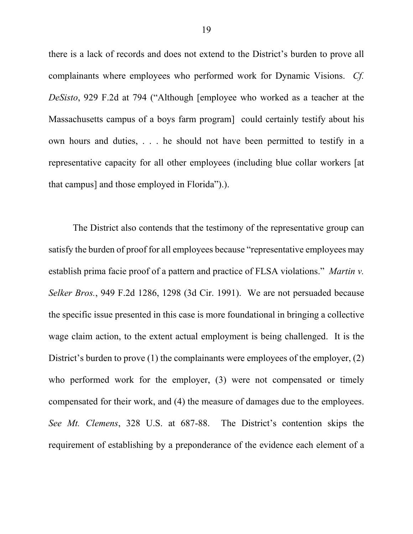there is a lack of records and does not extend to the District's burden to prove all complainants where employees who performed work for Dynamic Visions. *Cf. DeSisto*, 929 F.2d at 794 ("Although [employee who worked as a teacher at the Massachusetts campus of a boys farm program] could certainly testify about his own hours and duties, . . . he should not have been permitted to testify in a representative capacity for all other employees (including blue collar workers [at that campus] and those employed in Florida").).

The District also contends that the testimony of the representative group can satisfy the burden of proof for all employees because "representative employees may establish prima facie proof of a pattern and practice of FLSA violations." *Martin v. Selker Bros.*, 949 F.2d 1286, 1298 (3d Cir. 1991). We are not persuaded because the specific issue presented in this case is more foundational in bringing a collective wage claim action, to the extent actual employment is being challenged. It is the District's burden to prove (1) the complainants were employees of the employer, (2) who performed work for the employer, (3) were not compensated or timely compensated for their work, and (4) the measure of damages due to the employees. *See Mt. Clemens*, 328 U.S. at 687-88. The District's contention skips the requirement of establishing by a preponderance of the evidence each element of a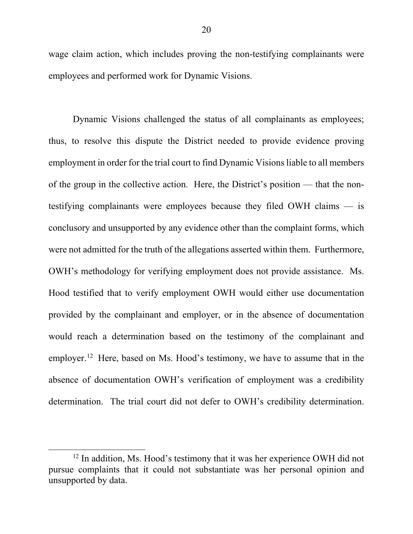wage claim action, which includes proving the non-testifying complainants were employees and performed work for Dynamic Visions.

Dynamic Visions challenged the status of all complainants as employees; thus, to resolve this dispute the District needed to provide evidence proving employment in order for the trial court to find Dynamic Visions liable to all members of the group in the collective action. Here, the District's position — that the nontestifying complainants were employees because they filed OWH claims — is conclusory and unsupported by any evidence other than the complaint forms, which were not admitted for the truth of the allegations asserted within them. Furthermore, OWH's methodology for verifying employment does not provide assistance. Ms. Hood testified that to verify employment OWH would either use documentation provided by the complainant and employer, or in the absence of documentation would reach a determination based on the testimony of the complainant and employer.<sup>12</sup> Here, based on Ms. Hood's testimony, we have to assume that in the absence of documentation OWH's verification of employment was a credibility determination. The trial court did not defer to OWH's credibility determination.

 $12$  In addition, Ms. Hood's testimony that it was her experience OWH did not pursue complaints that it could not substantiate was her personal opinion and unsupported by data.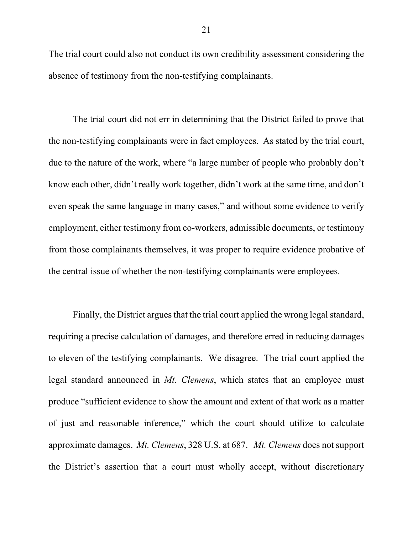The trial court could also not conduct its own credibility assessment considering the absence of testimony from the non-testifying complainants.

The trial court did not err in determining that the District failed to prove that the non-testifying complainants were in fact employees. As stated by the trial court, due to the nature of the work, where "a large number of people who probably don't know each other, didn't really work together, didn't work at the same time, and don't even speak the same language in many cases," and without some evidence to verify employment, either testimony from co-workers, admissible documents, or testimony from those complainants themselves, it was proper to require evidence probative of the central issue of whether the non-testifying complainants were employees.

Finally, the District argues that the trial court applied the wrong legal standard, requiring a precise calculation of damages, and therefore erred in reducing damages to eleven of the testifying complainants. We disagree. The trial court applied the legal standard announced in *Mt. Clemens*, which states that an employee must produce "sufficient evidence to show the amount and extent of that work as a matter of just and reasonable inference," which the court should utilize to calculate approximate damages. *Mt. Clemens*, 328 U.S. at 687. *Mt. Clemens* does not support the District's assertion that a court must wholly accept, without discretionary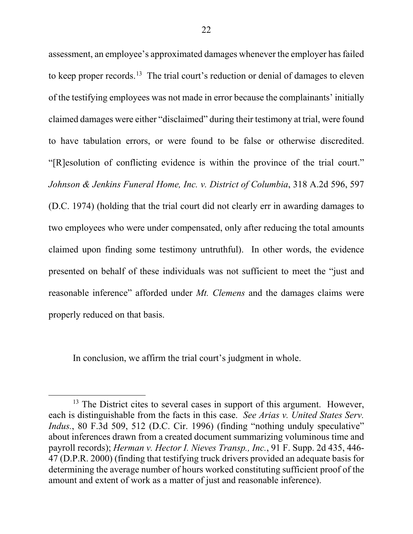assessment, an employee's approximated damages whenever the employer has failed to keep proper records.<sup>13</sup> The trial court's reduction or denial of damages to eleven of the testifying employees was not made in error because the complainants' initially claimed damages were either "disclaimed" during their testimony at trial, were found to have tabulation errors, or were found to be false or otherwise discredited. "[R]esolution of conflicting evidence is within the province of the trial court." *Johnson & Jenkins Funeral Home, Inc. v. District of Columbia*, 318 A.2d 596, 597 (D.C. 1974) (holding that the trial court did not clearly err in awarding damages to two employees who were under compensated, only after reducing the total amounts claimed upon finding some testimony untruthful). In other words, the evidence presented on behalf of these individuals was not sufficient to meet the "just and reasonable inference" afforded under *Mt. Clemens* and the damages claims were properly reduced on that basis.

In conclusion, we affirm the trial court's judgment in whole.

<sup>&</sup>lt;sup>13</sup> The District cites to several cases in support of this argument. However, each is distinguishable from the facts in this case. *See Arias v. United States Serv. Indus.*, 80 F.3d 509, 512 (D.C. Cir. 1996) (finding "nothing unduly speculative" about inferences drawn from a created document summarizing voluminous time and payroll records); *Herman v. Hector I. Nieves Transp., Inc.*, 91 F. Supp. 2d 435, 446- 47 (D.P.R. 2000) (finding that testifying truck drivers provided an adequate basis for determining the average number of hours worked constituting sufficient proof of the amount and extent of work as a matter of just and reasonable inference).